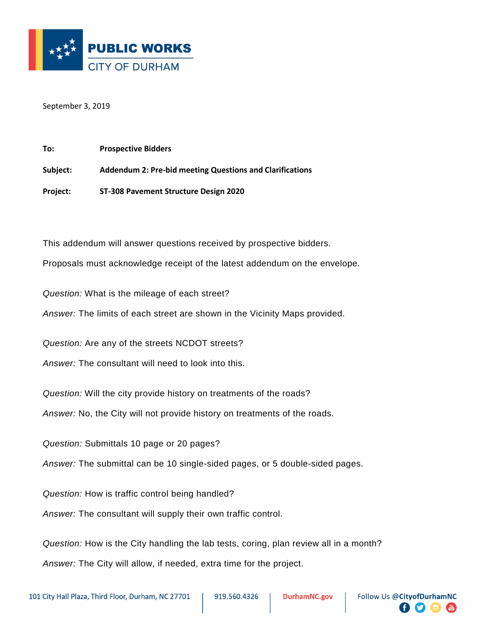

September 3, 2019

| To:      | <b>Prospective Bidders</b>                                      |
|----------|-----------------------------------------------------------------|
| Subject: | <b>Addendum 2: Pre-bid meeting Questions and Clarifications</b> |
| Project: | ST-308 Pavement Structure Design 2020                           |

This addendum will answer questions received by prospective bidders.

Proposals must acknowledge receipt of the latest addendum on the envelope.

*Question:* What is the mileage of each street?

*Answer:* The limits of each street are shown in the Vicinity Maps provided.

*Question:* Are any of the streets NCDOT streets?

*Answer:* The consultant will need to look into this.

*Question:* Will the city provide history on treatments of the roads?

*Answer:* No, the City will not provide history on treatments of the roads.

*Question:* Submittals 10 page or 20 pages?

*Answer:* The submittal can be 10 single-sided pages, or 5 double-sided pages.

*Question:* How is traffic control being handled?

*Answer:* The consultant will supply their own traffic control.

*Question:* How is the City handling the lab tests, coring, plan review all in a month? *Answer:* The City will allow, if needed, extra time for the project.